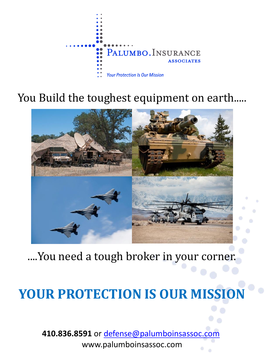

# You Build the toughest equipment on earth.....



# ....You need a tough broker in your corner.

# **YOUR PROTECTION IS OUR MISSION**

**410.836.8591** or [defense@palumboinsassoc.com](mailto:defense@palumboinsassoc.com) www.palumboinsassoc.com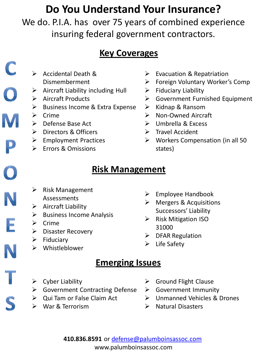# **Do You Understand Your Insurance?**

We do. P.I.A. has over 75 years of combined experience insuring federal government contractors.

### **Key Coverages**

- $\triangleright$  Accidental Death & Dismemberment
- $\triangleright$  Aircraft Liability including Hull
- $\triangleright$  Aircraft Products
- $\triangleright$  Business Income & Extra Expense
- $\triangleright$  Crime

 $\bigcirc$ 

M

- **►** Defense Base Act
- **▶** Directors & Officers
- $\triangleright$  Employment Practices
- **Errors & Omissions**
- $\triangleright$  Evacuation & Repatriation
- Foreign Voluntary Worker's Comp
- $\triangleright$  Fiduciary Liability
- Government Furnished Equipment
- $\triangleright$  Kidnap & Ransom
- Non-Owned Aircraft
- Umbrella & Excess
- $\triangleright$  Travel Accident
- $\triangleright$  Workers Compensation (in all 50 states)

# **Risk Management**

- $\triangleright$  Risk Management Assessments
- 
- $\triangleright$  Aircraft Liability
- $\triangleright$  Business Income Analysis
- $\triangleright$  Crime
- $\triangleright$  Disaster Recovery
- $\triangleright$  Fiduciary
- Whistleblower
- $\triangleright$  Employee Handbook
- $\triangleright$  Mergers & Acquisitions Successors' Liability
- $\triangleright$  Risk Mitigation ISO 31000
- $\triangleright$  DFAR Regulation
- $\blacktriangleright$  Life Safety

## **Emerging Issues**

- $\triangleright$  Cyber Liability
- ▶ Government Contracting Defense
- $\triangleright$  Qui Tam or False Claim Act
- War & Terrorism
- $\triangleright$  Ground Flight Clause
- Government Immunity
- Unmanned Vehicles & Drones
- $\triangleright$  Natural Disasters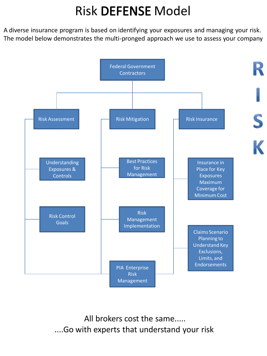# **Risk DEFENSE Model**

A diverse insurance program is based on identifying your exposures and managing your risk. The model below demonstrates the multi-pronged approach we use to assess your company



All brokers cost the same..... ....Go with experts that understand your risk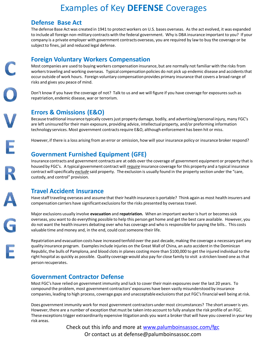### Examples of Key **DEFENSE** Coverages

#### **Defense Base Act**

The defense Base Act was created in 1941 to protect workers on U.S. bases overseas. As the act evolved, it was expanded to include all foreign non-military contracts with the federal government. Why is DBA insurance important to you? If your company is a private employer with government contracts overseas, you are required by law to buy the coverage or be subject to fines, jail and reduced legal defense.

#### **Foreign Voluntary Workers Compensation**

Most companies are used to buying workers compensation insurance, but are normally not familiar with the risks from workers traveling and working overseas. Typical compensation policies do not pick up endemic disease and accidents that occur outside of work hours. Foreign voluntary compensation provides primary insurance that covers a broad range of risks and gives you peace of mind.

Don't know if you have the coverage of not? Talk to us and we will figure if you have coverage for exposures such as repatriation, endemic disease, war or terrorism.

### **Errors & Omissions (E&O)**

Because traditional insurance typically covers just property damage, bodily, and advertising/personal injury, many FGC's are left uninsured for their main exposure, providing advice, intellectual property, and/or preforming information technology services. Most government contracts require E&O, although enforcement has been hit or miss.

However, if there is a loss arising from an error or omission, how will your insurance policy or insurance broker respond?

### **Government Furnished Equipment (GFE)**

Insurance contracts and government contracts are at odds over the coverage of government equipment or property that is housed by FGC's. A typical government contract will *require* insurance coverage for this property and a typical insurance contract will specifically *exclude* said property. The exclusion is usually found in the property section under the "care, custody, and control" provision.

#### **Travel Accident Insurance**

Have staff traveling overseas and assume that their health insurance is portable? Think again as most health insurers and compensation carriers have significant exclusions for the risks presented by overseas travel.

Major exclusions usually involve **evacuation** and **repatriation.** When an important worker is hurt or becomes sick overseas, you want to do everything possible to help this person get home and get the best care available. However, you do not want the health insurers debating over who has coverage and who is responsible for paying the bills.. This costs valuable time and money and, in the end, could cost someone their life.

Repatriation and evacuation costs have increased tenfold over the past decade, making the coverage a necessary part any quality insurance program. Examples include injuries on the Great Wall of China, an auto accident in the Dominican Republic, the bulls of Pamplona, and blood clots in planes costing more than \$100,000 to get the injured individual to the right hospital as quickly as possible. Quality coverage would also pay for close family to visit a stricken loved one as that person recuperates.

#### **Government Contractor Defense**

Most FGC's have relied on government immunity and luck to cover their main exposures over the last 20 years. To compound the problem, most government contractors' exposures have been vastly misunderstood by insurance companies, leading to high process, coverage gaps and unacceptable exclusions that put FGC's financial well being at risk.

Does government immunity work for most government contractors under most circumstances? The short answer is yes. However, there are a number of exception that must be taken into account to fully analyze the risk profile of an FGC. These exceptions trigger extraordinarily expensive litigation ands you want a broker that will have you covered in your key risk areas.

> Check out this info and more at [www.palumboinsassoc.com/fgc](http://www.palumboinsassoc.com/fgc) Or contact us at defense@palumboinsassoc.com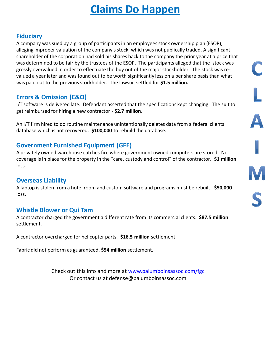# **Claims Do Happen**

### **Fiduciary**

A company was sued by a group of participants in an employees stock ownership plan (ESOP), alleging improper valuation of the company's stock, which was not publically traded. A significant shareholder of the corporation had sold his shares back to the company the prior year at a price that was determined to be fair by the trustees of the ESOP. The participants alleged that the stock was grossly overvalued in order to effectuate the buy out of the major stockholder. The stock was revalued a year later and was found out to be worth significantly less on a per share basis than what was paid out to the previous stockholder. The lawsuit settled for **\$1.5 million.**

### **Errors & Omission (E&O)**

I/T software is delivered late. Defendant asserted that the specifications kept changing. The suit to get reimbursed for hiring a new contractor - **\$2.7 million.**

An I/T firm hired to do routine maintenance unintentionally deletes data from a federal clients database which is not recovered. **\$100,000** to rebuild the database.

### **Government Furnished Equipment (GFE)**

A privately owned warehouse catches fire where government owned computers are stored. No coverage is in place for the property in the "care, custody and control" of the contractor. **\$1 million**  loss.

### **Overseas Liability**

A laptop is stolen from a hotel room and custom software and programs must be rebuilt. **\$50,000**  loss.

### **Whistle Blower or Qui Tam**

A contractor charged the government a different rate from its commercial clients. **\$87.5 million**  settlement.

A contractor overcharged for helicopter parts. **\$16.5 million** settlement.

Fabric did not perform as guaranteed. **\$54 million** settlement.

Check out this info and more at [www.palumboinsassoc.com/fgc](http://www.palumboinsassoc.com/fgc) Or contact us at defense@palumboinsassoc.com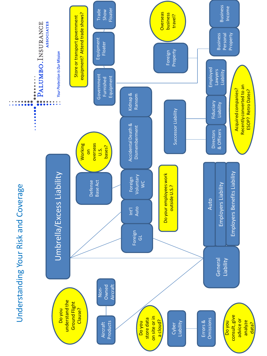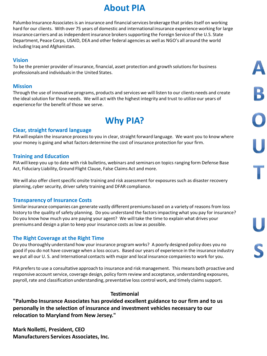## **About PIA**

Palumbo Insurance Associates is an insurance and financial services brokerage that prides itself on working hard for our clients. With over 75 years of domestic and international insurance experience working for large insurance carriers and as independent insurance brokers supporting the Foreign Service of the U.S. State Department, Peace Corps, USAID, DEA and other federal agencies as well as NGO's all around the world including Iraq and Afghanistan.

#### **Vision**

To be the premier provider of insurance, financial, asset protection and growth solutions for business professionals and individuals in the United States.

#### **Mission**

Through the use of innovative programs, products and services we will listen to our clients needs and create the ideal solution for those needs. We will act with the highest integrity and trust to utilize our years of experience for the benefit of those we serve.

 $\mathbf{B}$ 

## **Why PIA?**

#### **Clear, straight forward language**

PIA will explain the insurance process to you in clear, straight forward language. We want you to know where your money is going and what factors determine the cost of insurance protection for your firm.

#### **Training and Education**

PIA will keep you up to date with risk bulletins, webinars and seminars on topics ranging form Defense Base Act, Fiduciary Liability, Ground Flight Clause, False Claims Act and more.

We will also offer client specific onsite training and risk assessment for exposures such as disaster recovery planning, cyber security, driver safety training and DFAR compliance.

#### **Transparency of Insurance Costs**

Similar insurance companies can generate vastly different premiums based on a variety of reasons from loss history to the quality of safety planning. Do you understand the factors impacting what you pay for insurance? Do you know how much you are paying your agent? We will take the time to explain what drives your premiums and design a plan to keep your insurance costs as low as possible.

#### **The Right Coverage at the Right Time**

Do you thoroughly understand how your insurance program works? A poorly designed policy does you no good if you do not have coverage when a loss occurs. Based our years of experience in the insurance industry we put all our U. S. and International contacts with major and local insurance companies to work for you.

PIA prefers to use a consultative approach to insurance and risk management. This means both proactive and responsive account service, coverage design, policy form review and acceptance, understanding exposures, payroll, rate and classification understanding, preventative loss control work, and timely claims support.

#### **Testimonial**

**"Palumbo Insurance Associates has provided excellent guidance to our firm and to us personally in the selection of insurance and investment vehicles necessary to our relocation to Maryland from New Jersey."**

**Mark Nolletti, President, CEO Manufacturers Services Associates, Inc.**